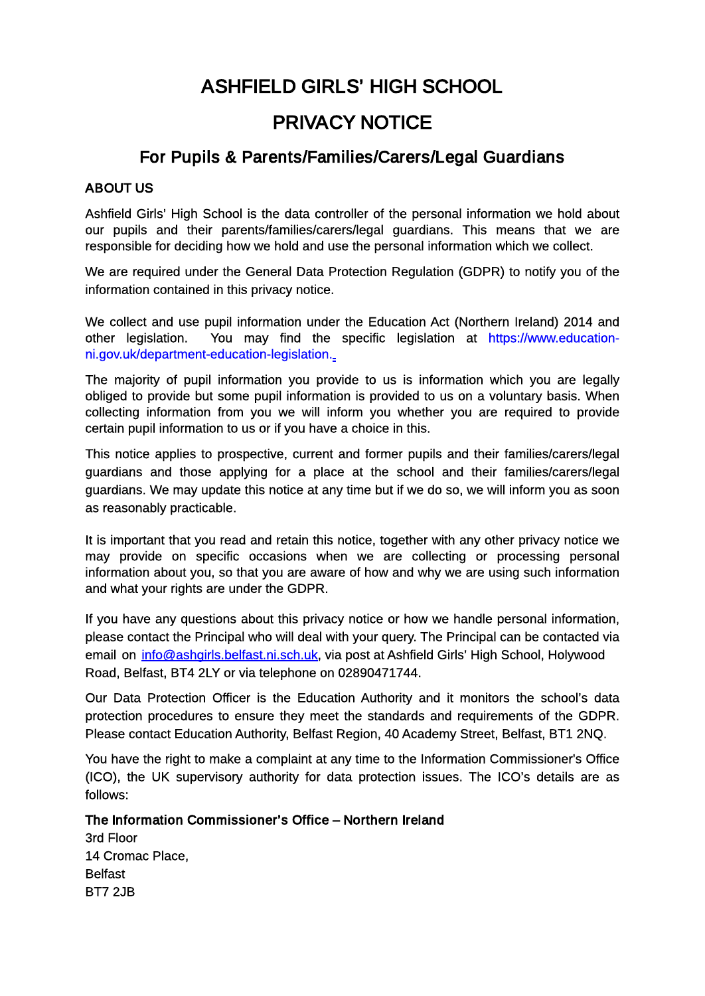# ASHFIELD GIRLS' HIGH SCHOOL

## PRIVACY NOTICE

### For Pupils & Parents/Families/Carers/Legal Guardians

#### ABOUT US

Ashfield Girls' High School is the data controller of the personal information we hold about our pupils and their parents/families/carers/legal guardians. This means that we are responsible for deciding how we hold and use the personal information which we collect.

We are required under the General Data Protection Regulation (GDPR) to notify you of the information contained in this privacy notice.

We collect and use pupil information under the Education Act (Northern Ireland) 2014 and other legislation. You may find the specific legislation at https://www.educationni.gov.uk/department-education-legislation.

The majority of pupil information you provide to us is information which you are legally obliged to provide but some pupil information is provided to us on a voluntary basis. When collecting information from you we will inform you whether you are required to provide certain pupil information to us or if you have a choice in this.

This notice applies to prospective, current and former pupils and their families/carers/legal guardians and those applying for a place at the school and their families/carers/legal guardians. We may update this notice at any time but if we do so, we will inform you as soon as reasonably practicable.

It is important that you read and retain this notice, together with any other privacy notice we may provide on specific occasions when we are collecting or processing personal information about you, so that you are aware of how and why we are using such information and what your rights are under the GDPR.

If you have any questions about this privacy notice or how we handle personal information, please contact the Principal who will deal with your query. The Principal can be contacted via email on info@ashgirls.belfast.ni.sch.uk, via post at Ashfield Girls' High School, Holywood Road, Belfast, BT4 2LY or via telephone on 02890471744.

Our Data Protection Officer is the Education Authority and it monitors the school's data protection procedures to ensure they meet the standards and requirements of the GDPR. Please contact Education Authority, Belfast Region, 40 Academy Street, Belfast, BT1 2NQ.

You have the right to make a complaint at any time to the Information Commissioner's Office (ICO), the UK supervisory authority for data protection issues. The ICO's details are as follows:

The Information Commissioner's Office – Northern Ireland 3rd Floor 14 Cromac Place, Belfast BT7 2JB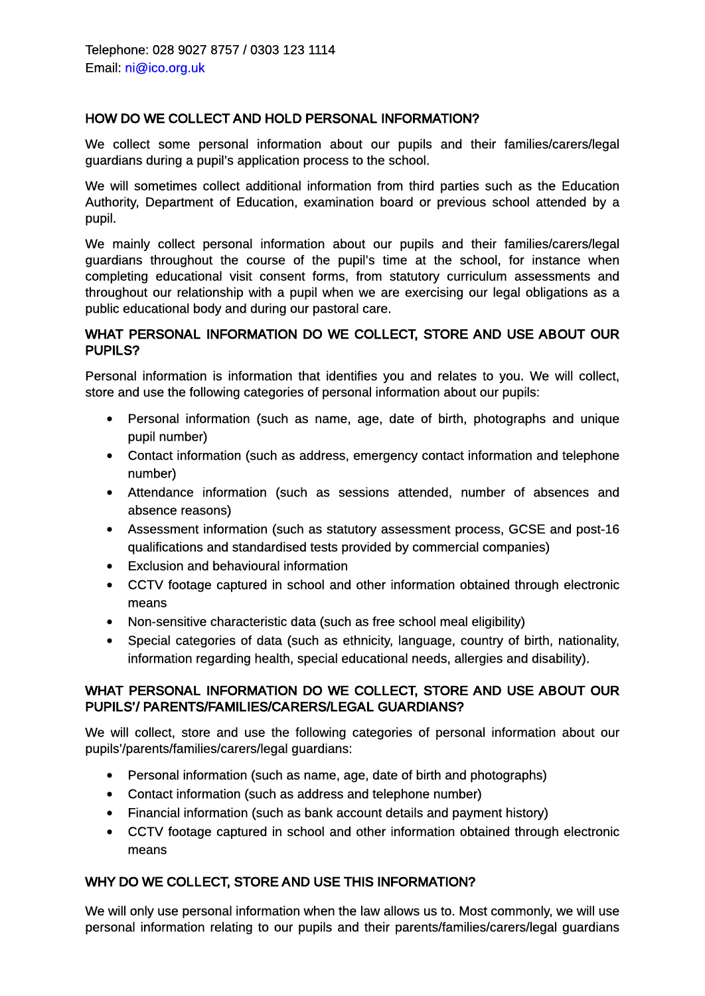#### HOW DO WE COLLECT AND HOLD PERSONAL INFORMATION?

We collect some personal information about our pupils and their families/carers/legal guardians during a pupil's application process to the school.

We will sometimes collect additional information from third parties such as the Education Authority, Department of Education, examination board or previous school attended by a pupil.

We mainly collect personal information about our pupils and their families/carers/legal guardians throughout the course of the pupil's time at the school, for instance when completing educational visit consent forms, from statutory curriculum assessments and throughout our relationship with a pupil when we are exercising our legal obligations as a public educational body and during our pastoral care.

#### WHAT PERSONAL INFORMATION DO WE COLLECT, STORE AND USE ABOUT OUR PUPILS?

Personal information is information that identifies you and relates to you. We will collect, store and use the following categories of personal information about our pupils:

- Personal information (such as name, age, date of birth, photographs and unique pupil number)
- Contact information (such as address, emergency contact information and telephone number)
- Attendance information (such as sessions attended, number of absences and absence reasons)
- Assessment information (such as statutory assessment process, GCSE and post-16 qualifications and standardised tests provided by commercial companies)
- Exclusion and behavioural information
- CCTV footage captured in school and other information obtained through electronic means
- Non-sensitive characteristic data (such as free school meal eligibility)
- Special categories of data (such as ethnicity, language, country of birth, nationality, information regarding health, special educational needs, allergies and disability).

#### WHAT PERSONAL INFORMATION DO WE COLLECT, STORE AND USE ABOUT OUR PUPILS'/ PARENTS/FAMILIES/CARERS/LEGAL GUARDIANS?

We will collect, store and use the following categories of personal information about our pupils'/parents/families/carers/legal guardians:

- Personal information (such as name, age, date of birth and photographs)
- Contact information (such as address and telephone number)
- Financial information (such as bank account details and payment history)
- CCTV footage captured in school and other information obtained through electronic means

#### WHY DO WE COLLECT, STORE AND USE THIS INFORMATION?

We will only use personal information when the law allows us to. Most commonly, we will use personal information relating to our pupils and their parents/families/carers/legal guardians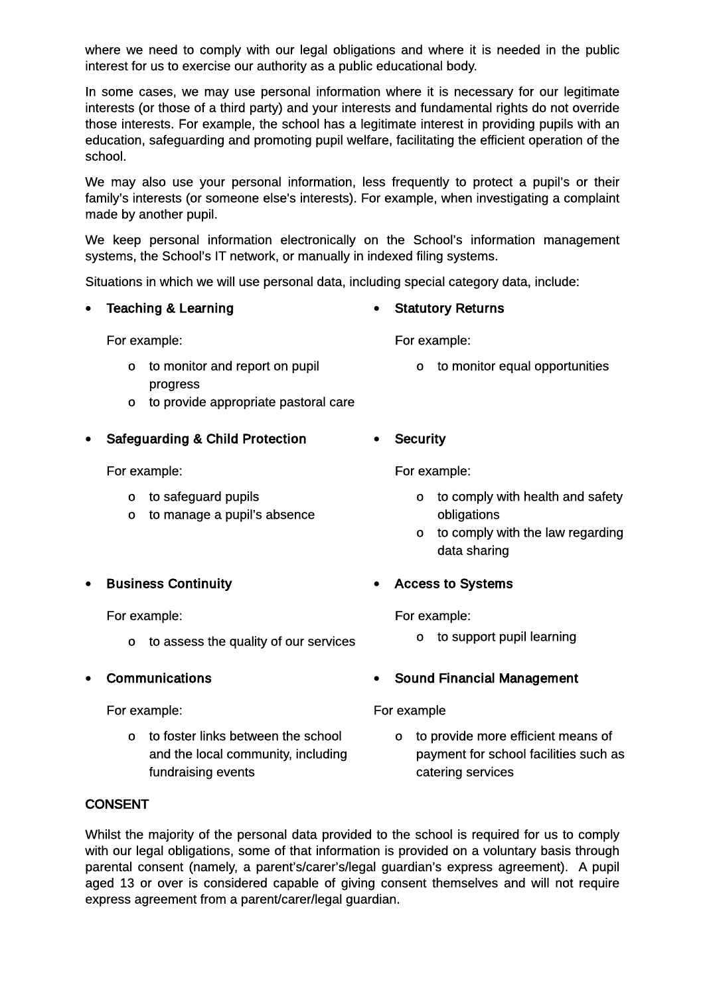where we need to comply with our legal obligations and where it is needed in the public interest for us to exercise our authority as a public educational body.

In some cases, we may use personal information where it is necessary for our legitimate interests (or those of a third party) and your interests and fundamental rights do not override those interests. For example, the school has a legitimate interest in providing pupils with an education, safeguarding and promoting pupil welfare, facilitating the efficient operation of the school.

We may also use your personal information, less frequently to protect a pupil's or their family's interests (or someone else's interests). For example, when investigating a complaint made by another pupil.

We keep personal information electronically on the School's information management systems, the School's IT network, or manually in indexed filing systems.

Situations in which we will use personal data, including special category data, include:

• Teaching & Learning

For example:

• Statutory Returns

- For example:
- o to monitor and report on pupil progress
- o to provide appropriate pastoral care
- Safeguarding & Child Protection

For example:

- o to safeguard pupils
- o to manage a pupil's absence
- **•** Business Continuity

For example:

- o to assess the quality of our services
- Communications

For example:

o to foster links between the school and the local community, including fundraising events

• Security

For example:

o to comply with health and safety obligations

o to monitor equal opportunities

- o to comply with the law regarding data sharing
- Access to Systems

For example:

- o to support pupil learning
- Sound Financial Management

#### For example

o to provide more efficient means of payment for school facilities such as catering services

#### **CONSENT**

Whilst the majority of the personal data provided to the school is required for us to comply with our legal obligations, some of that information is provided on a voluntary basis through parental consent (namely, a parent's/carer's/legal guardian's express agreement). A pupil aged 13 or over is considered capable of giving consent themselves and will not require express agreement from a parent/carer/legal guardian.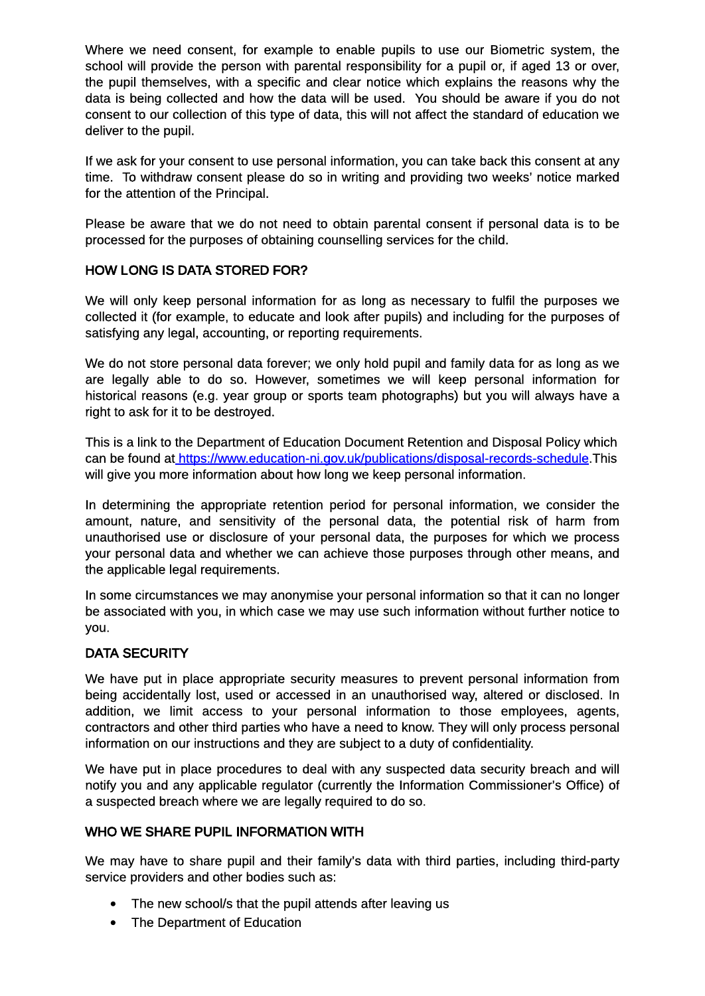Where we need consent, for example to enable pupils to use our Biometric system, the school will provide the person with parental responsibility for a pupil or, if aged 13 or over, the pupil themselves, with a specific and clear notice which explains the reasons why the data is being collected and how the data will be used. You should be aware if you do not consent to our collection of this type of data, this will not affect the standard of education we deliver to the pupil.

If we ask for your consent to use personal information, you can take back this consent at any time. To withdraw consent please do so in writing and providing two weeks' notice marked for the attention of the Principal.

Please be aware that we do not need to obtain parental consent if personal data is to be processed for the purposes of obtaining counselling services for the child.

#### HOW LONG IS DATA STORED FOR?

We will only keep personal information for as long as necessary to fulfil the purposes we collected it (for example, to educate and look after pupils) and including for the purposes of satisfying any legal, accounting, or reporting requirements.

We do not store personal data forever; we only hold pupil and family data for as long as we are legally able to do so. However, sometimes we will keep personal information for historical reasons (e.g. year group or sports team photographs) but you will always have a right to ask for it to be destroyed.

This is a link to the Department of Education Document Retention and Disposal Policy which can be found at https://www.education-ni.gov.uk/publications/disposal-records-schedule.This will give you more information about how long we keep personal information.

In determining the appropriate retention period for personal information, we consider the amount, nature, and sensitivity of the personal data, the potential risk of harm from unauthorised use or disclosure of your personal data, the purposes for which we process your personal data and whether we can achieve those purposes through other means, and the applicable legal requirements.

In some circumstances we may anonymise your personal information so that it can no longer be associated with you, in which case we may use such information without further notice to you.

#### DATA SECURITY

We have put in place appropriate security measures to prevent personal information from being accidentally lost, used or accessed in an unauthorised way, altered or disclosed. In addition, we limit access to your personal information to those employees, agents, contractors and other third parties who have a need to know. They will only process personal information on our instructions and they are subject to a duty of confidentiality.

We have put in place procedures to deal with any suspected data security breach and will notify you and any applicable regulator (currently the Information Commissioner's Office) of a suspected breach where we are legally required to do so.

#### WHO WE SHARE PUPIL INFORMATION WITH

We may have to share pupil and their family's data with third parties, including third-party service providers and other bodies such as:

- The new school/s that the pupil attends after leaving us
- The Department of Education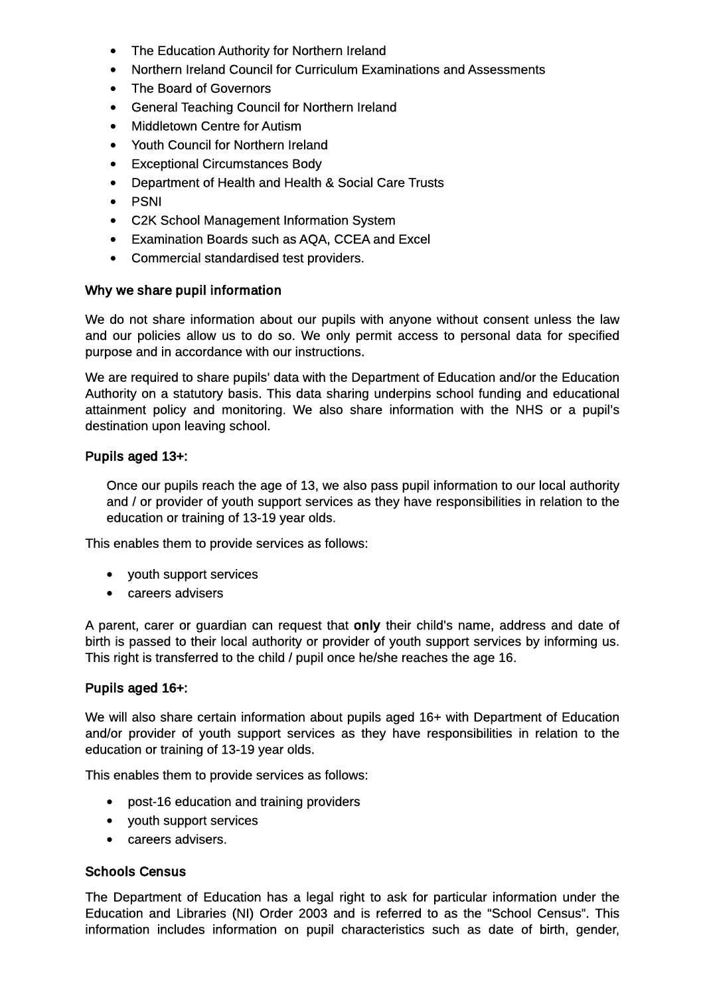- The Education Authority for Northern Ireland
- Northern Ireland Council for Curriculum Examinations and Assessments
- The Board of Governors
- General Teaching Council for Northern Ireland
- Middletown Centre for Autism
- Youth Council for Northern Ireland
- Exceptional Circumstances Body
- Department of Health and Health & Social Care Trusts
- PSNI
- C2K School Management Information System
- Examination Boards such as AQA, CCEA and Excel
- Commercial standardised test providers.

Why we share pupil information

We do not share information about our pupils with anyone without consent unless the law and our policies allow us to do so. We only permit access to personal data for specified purpose and in accordance with our instructions.

We are required to share pupils' data with the Department of Education and/or the Education Authority on a statutory basis. This data sharing underpins school funding and educational attainment policy and monitoring. We also share information with the NHS or a pupil's destination upon leaving school.

Pupils aged 13+:

Once our pupils reach the age of 13, we also pass pupil information to our local authority and / or provider of youth support services as they have responsibilities in relation to the education or training of 13-19 year olds.

This enables them to provide services as follows:

- youth support services
- careers advisers

A parent, carer or guardian can request that only their child's name, address and date of birth is passed to their local authority or provider of youth support services by informing us. This right is transferred to the child / pupil once he/she reaches the age 16.

#### Pupils aged 16+:

We will also share certain information about pupils aged 16+ with Department of Education and/or provider of youth support services as they have responsibilities in relation to the education or training of 13-19 year olds.

This enables them to provide services as follows:

- post-16 education and training providers
- youth support services
- careers advisers.

#### Schools Census

The Department of Education has a legal right to ask for particular information under the Education and Libraries (NI) Order 2003 and is referred to as the "School Census". This information includes information on pupil characteristics such as date of birth, gender,